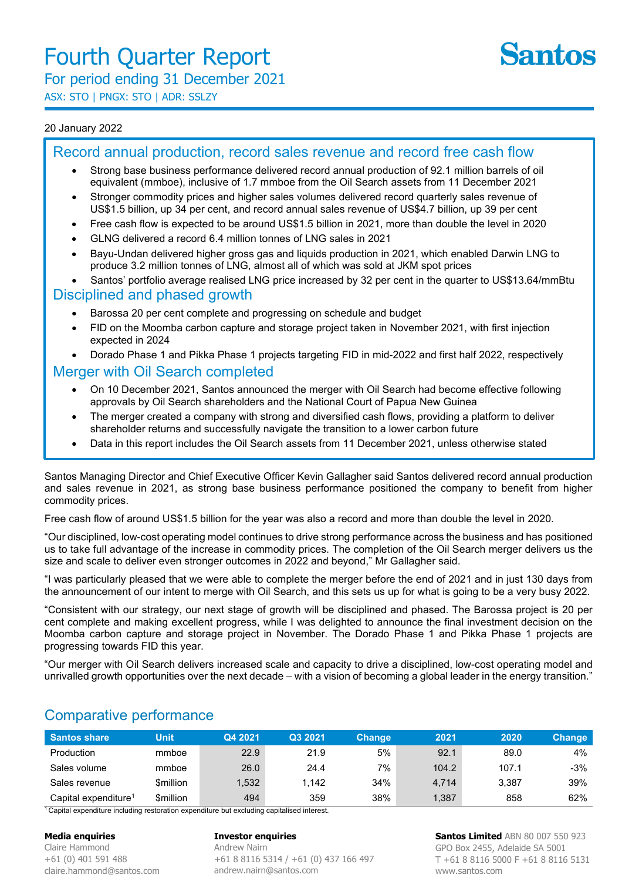

# For period ending 31 December 2021

ASX: STO | PNGX: STO | ADR: SSLZY

#### 20 January 2022

## Record annual production, record sales revenue and record free cash flow

- Strong base business performance delivered record annual production of 92.1 million barrels of oil equivalent (mmboe), inclusive of 1.7 mmboe from the Oil Search assets from 11 December 2021
- Stronger commodity prices and higher sales volumes delivered record quarterly sales revenue of US\$1.5 billion, up 34 per cent, and record annual sales revenue of US\$4.7 billion, up 39 per cent
- Free cash flow is expected to be around US\$1.5 billion in 2021, more than double the level in 2020
- GLNG delivered a record 6.4 million tonnes of LNG sales in 2021
- Bayu-Undan delivered higher gross gas and liquids production in 2021, which enabled Darwin LNG to produce 3.2 million tonnes of LNG, almost all of which was sold at JKM spot prices
- Santos' portfolio average realised LNG price increased by 32 per cent in the quarter to US\$13.64/mmBtu

#### Disciplined and phased growth

- Barossa 20 per cent complete and progressing on schedule and budget
- FID on the Moomba carbon capture and storage project taken in November 2021, with first injection expected in 2024
- Dorado Phase 1 and Pikka Phase 1 projects targeting FID in mid-2022 and first half 2022, respectively

### Merger with Oil Search completed

- On 10 December 2021, Santos announced the merger with Oil Search had become effective following approvals by Oil Search shareholders and the National Court of Papua New Guinea
- The merger created a company with strong and diversified cash flows, providing a platform to deliver shareholder returns and successfully navigate the transition to a lower carbon future
- Data in this report includes the Oil Search assets from 11 December 2021, unless otherwise stated

Santos Managing Director and Chief Executive Officer Kevin Gallagher said Santos delivered record annual production and sales revenue in 2021, as strong base business performance positioned the company to benefit from higher commodity prices.

Free cash flow of around US\$1.5 billion for the year was also a record and more than double the level in 2020.

"Our disciplined, low-cost operating model continues to drive strong performance across the business and has positioned us to take full advantage of the increase in commodity prices. The completion of the Oil Search merger delivers us the size and scale to deliver even stronger outcomes in 2022 and beyond," Mr Gallagher said.

"I was particularly pleased that we were able to complete the merger before the end of 2021 and in just 130 days from the announcement of our intent to merge with Oil Search, and this sets us up for what is going to be a very busy 2022.

"Consistent with our strategy, our next stage of growth will be disciplined and phased. The Barossa project is 20 per cent complete and making excellent progress, while I was delighted to announce the final investment decision on the Moomba carbon capture and storage project in November. The Dorado Phase 1 and Pikka Phase 1 projects are progressing towards FID this year.

"Our merger with Oil Search delivers increased scale and capacity to drive a disciplined, low-cost operating model and unrivalled growth opportunities over the next decade – with a vision of becoming a global leader in the energy transition."

| Santos share                     | <b>Unit</b> | Q4 2021 | Q3 2021 | <b>Change</b> | 2021  | 2020  | <b>Change</b> |
|----------------------------------|-------------|---------|---------|---------------|-------|-------|---------------|
| Production                       | mmboe       | 22.9    | 21.9    | 5%            | 92.1  | 89.0  | 4%            |
| Sales volume                     | mmboe       | 26.0    | 24.4    | 7%            | 104.2 | 107.1 | -3%           |
| Sales revenue                    | \$million   | .532    | 1.142   | 34%           | 4,714 | 3.387 | 39%           |
| Capital expenditure <sup>1</sup> | \$million   | 494     | 359     | 38%           | 1.387 | 858   | 62%           |

# Comparative performance

<sup>1</sup> Capital expenditure including restoration expenditure but excluding capitalised interest.

#### **Media enquiries**

Claire Hammond +61 (0) 401 591 488 claire.hammond@santos.com

#### **Investor enquiries**

Andrew Nairn +61 8 8116 5314 / +61 (0) 437 166 497 andrew.nairn@santos.com

**Santos Limited** ABN 80 007 550 923 GPO Box 2455, Adelaide SA 5001 T +61 8 8116 5000 F +61 8 8116 5131 www.santos.com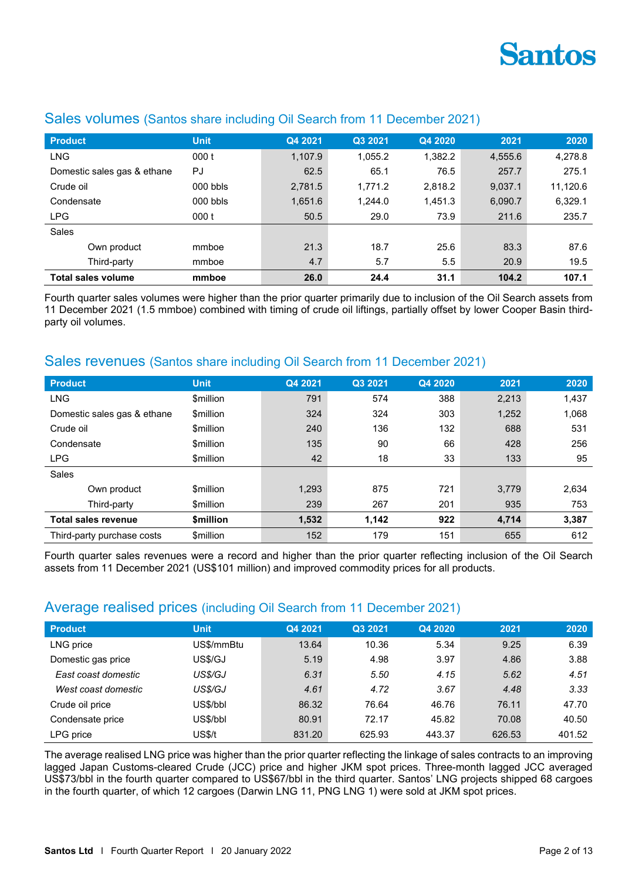

| <b>Product</b>              | <b>Unit</b> | Q4 2021 | Q3 2021 | Q4 2020 | 2021    | 2020     |
|-----------------------------|-------------|---------|---------|---------|---------|----------|
| <b>LNG</b>                  | 000t        | 1.107.9 | 1.055.2 | 1,382.2 | 4,555.6 | 4,278.8  |
| Domestic sales gas & ethane | PJ          | 62.5    | 65.1    | 76.5    | 257.7   | 275.1    |
| Crude oil                   | $000$ bbls  | 2,781.5 | 1.771.2 | 2,818.2 | 9.037.1 | 11,120.6 |
| Condensate                  | $000$ bbls  | 1,651.6 | 1.244.0 | 1,451.3 | 6,090.7 | 6,329.1  |
| <b>LPG</b>                  | 000t        | 50.5    | 29.0    | 73.9    | 211.6   | 235.7    |
| Sales                       |             |         |         |         |         |          |
| Own product                 | mmboe       | 21.3    | 18.7    | 25.6    | 83.3    | 87.6     |
| Third-party                 | mmboe       | 4.7     | 5.7     | 5.5     | 20.9    | 19.5     |
| Total sales volume          | mmboe       | 26.0    | 24.4    | 31.1    | 104.2   | 107.1    |

### Sales volumes (Santos share including Oil Search from 11 December 2021)

Fourth quarter sales volumes were higher than the prior quarter primarily due to inclusion of the Oil Search assets from 11 December 2021 (1.5 mmboe) combined with timing of crude oil liftings, partially offset by lower Cooper Basin thirdparty oil volumes.

### Sales revenues (Santos share including Oil Search from 11 December 2021)

| <b>Product</b>              | <b>Unit</b>      | Q4 2021 | Q3 2021 | Q4 2020 | 2021  | 2020  |
|-----------------------------|------------------|---------|---------|---------|-------|-------|
| <b>LNG</b>                  | \$million        | 791     | 574     | 388     | 2,213 | 1,437 |
| Domestic sales gas & ethane | \$million        | 324     | 324     | 303     | 1,252 | 1,068 |
| Crude oil                   | \$million        | 240     | 136     | 132     | 688   | 531   |
| Condensate                  | \$million        | 135     | 90      | 66      | 428   | 256   |
| <b>LPG</b>                  | \$million        | 42      | 18      | 33      | 133   | 95    |
| Sales                       |                  |         |         |         |       |       |
| Own product                 | \$million        | 1,293   | 875     | 721     | 3,779 | 2,634 |
| Third-party                 | \$million        | 239     | 267     | 201     | 935   | 753   |
| <b>Total sales revenue</b>  | \$million        | 1,532   | 1.142   | 922     | 4,714 | 3,387 |
| Third-party purchase costs  | <b>\$million</b> | 152     | 179     | 151     | 655   | 612   |

Fourth quarter sales revenues were a record and higher than the prior quarter reflecting inclusion of the Oil Search assets from 11 December 2021 (US\$101 million) and improved commodity prices for all products.

## Average realised prices (including Oil Search from 11 December 2021)

| <b>Product</b>      | <b>Unit</b> | Q4 2021 | Q3 2021 | Q4 2020 | 2021   | 2020   |
|---------------------|-------------|---------|---------|---------|--------|--------|
| LNG price           | US\$/mmBtu  | 13.64   | 10.36   | 5.34    | 9.25   | 6.39   |
| Domestic gas price  | US\$/GJ     | 5.19    | 4.98    | 3.97    | 4.86   | 3.88   |
| East coast domestic | US\$/GJ     | 6.31    | 5.50    | 4.15    | 5.62   | 4.51   |
| West coast domestic | US\$/GJ     | 4.61    | 4.72    | 3.67    | 4.48   | 3.33   |
| Crude oil price     | US\$/bbl    | 86.32   | 76.64   | 46.76   | 76.11  | 47.70  |
| Condensate price    | US\$/bbl    | 80.91   | 72.17   | 45.82   | 70.08  | 40.50  |
| LPG price           | US\$/t      | 831.20  | 625.93  | 443.37  | 626.53 | 401.52 |

The average realised LNG price was higher than the prior quarter reflecting the linkage of sales contracts to an improving lagged Japan Customs-cleared Crude (JCC) price and higher JKM spot prices. Three-month lagged JCC averaged US\$73/bbl in the fourth quarter compared to US\$67/bbl in the third quarter. Santos' LNG projects shipped 68 cargoes in the fourth quarter, of which 12 cargoes (Darwin LNG 11, PNG LNG 1) were sold at JKM spot prices.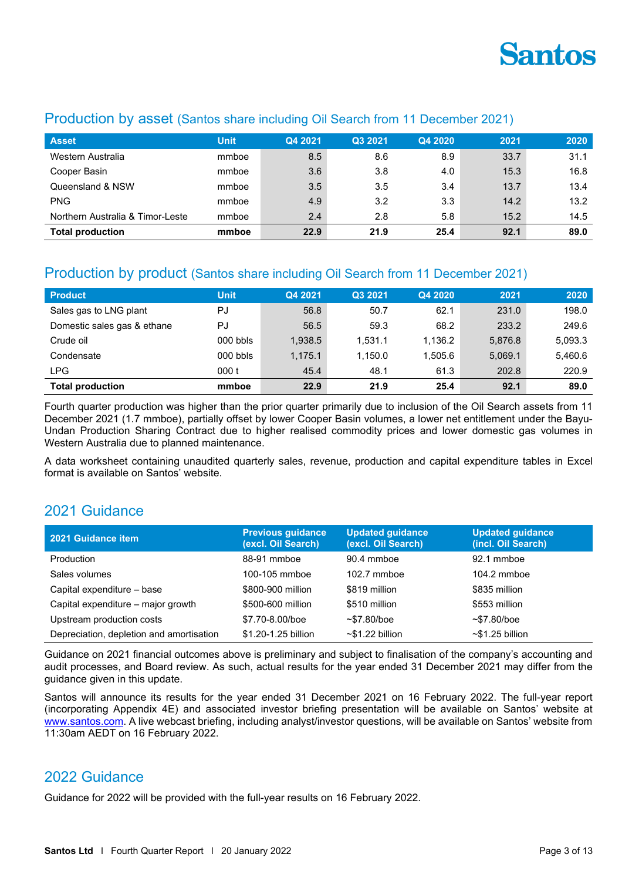

| <b>Asset</b>                     | <b>Unit</b> | Q4 2021 | Q3 2021 | Q4 2020 | 2021 | 2020 |
|----------------------------------|-------------|---------|---------|---------|------|------|
| Western Australia                | mmboe       | 8.5     | 8.6     | 8.9     | 33.7 | 31.1 |
| Cooper Basin                     | mmboe       | 3.6     | 3.8     | 4.0     | 15.3 | 16.8 |
| Queensland & NSW                 | mmboe       | 3.5     | 3.5     | 3.4     | 13.7 | 13.4 |
| <b>PNG</b>                       | mmboe       | 4.9     | 3.2     | 3.3     | 14.2 | 13.2 |
| Northern Australia & Timor-Leste | mmboe       | 2.4     | 2.8     | 5.8     | 15.2 | 14.5 |
| <b>Total production</b>          | mmboe       | 22.9    | 21.9    | 25.4    | 92.1 | 89.0 |

## Production by asset (Santos share including Oil Search from 11 December 2021)

# Production by product (Santos share including Oil Search from 11 December 2021)

| <b>Product</b>              | <b>Unit</b> | Q4 2021 | Q3 2021 | Q4 2020 | 2021    | 2020    |
|-----------------------------|-------------|---------|---------|---------|---------|---------|
| Sales gas to LNG plant      | PJ          | 56.8    | 50.7    | 62.1    | 231.0   | 198.0   |
| Domestic sales gas & ethane | PJ          | 56.5    | 59.3    | 68.2    | 233.2   | 249.6   |
| Crude oil                   | $000$ bbls  | 1.938.5 | 1.531.1 | 1.136.2 | 5.876.8 | 5,093.3 |
| Condensate                  | $000$ bbls  | 1.175.1 | 1.150.0 | 1.505.6 | 5.069.1 | 5,460.6 |
| <b>LPG</b>                  | 000 t       | 45.4    | 48.1    | 61.3    | 202.8   | 220.9   |
| <b>Total production</b>     | mmboe       | 22.9    | 21.9    | 25.4    | 92.1    | 89.0    |

Fourth quarter production was higher than the prior quarter primarily due to inclusion of the Oil Search assets from 11 December 2021 (1.7 mmboe), partially offset by lower Cooper Basin volumes, a lower net entitlement under the Bayu-Undan Production Sharing Contract due to higher realised commodity prices and lower domestic gas volumes in Western Australia due to planned maintenance.

A data worksheet containing unaudited quarterly sales, revenue, production and capital expenditure tables in Excel format is available on Santos' website.

# 2021 Guidance

| 2021 Guidance item                       | <b>Previous guidance</b><br>(excl. Oil Search) | <b>Updated guidance</b><br>(excl. Oil Search) | <b>Updated guidance</b><br>(incl. Oil Search) |
|------------------------------------------|------------------------------------------------|-----------------------------------------------|-----------------------------------------------|
| Production                               | 88-91 mmboe                                    | 90.4 mmboe                                    | 92.1 mmboe                                    |
| Sales volumes                            | 100-105 mmboe                                  | $102.7$ mmboe                                 | $104.2$ mmboe                                 |
| Capital expenditure - base               | \$800-900 million                              | \$819 million                                 | \$835 million                                 |
| Capital expenditure – major growth       | \$500-600 million                              | \$510 million                                 | \$553 million                                 |
| Upstream production costs                | \$7.70-8.00/boe                                | $~57.80$ /boe                                 | $~57.80$ /boe                                 |
| Depreciation, depletion and amortisation | \$1.20-1.25 billion                            | $~51.22$ billion                              | $~51.25$ billion                              |

Guidance on 2021 financial outcomes above is preliminary and subject to finalisation of the company's accounting and audit processes, and Board review. As such, actual results for the year ended 31 December 2021 may differ from the guidance given in this update.

Santos will announce its results for the year ended 31 December 2021 on 16 February 2022. The full-year report (incorporating Appendix 4E) and associated investor briefing presentation will be available on Santos' website at [www.santos.com.](http://www.santos.com/) A live webcast briefing, including analyst/investor questions, will be available on Santos' website from 11:30am AEDT on 16 February 2022.

## 2022 Guidance

Guidance for 2022 will be provided with the full-year results on 16 February 2022.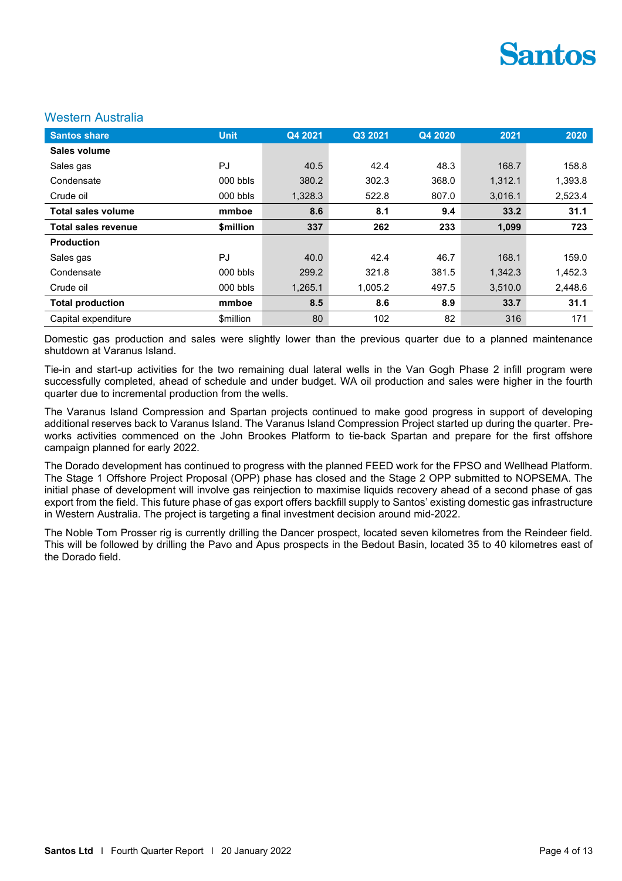#### Western Australia

| <b>Santos share</b>        | <b>Unit</b>                   | Q4 2021 | Q3 2021 | Q4 2020 | 2021    | 2020    |
|----------------------------|-------------------------------|---------|---------|---------|---------|---------|
| Sales volume               |                               |         |         |         |         |         |
| Sales gas                  | PJ                            | 40.5    | 42.4    | 48.3    | 168.7   | 158.8   |
| Condensate                 | $000$ bbls                    | 380.2   | 302.3   | 368.0   | 1.312.1 | 1,393.8 |
| Crude oil                  | $000$ bbls                    | 1,328.3 | 522.8   | 807.0   | 3,016.1 | 2,523.4 |
| <b>Total sales volume</b>  | mmboe                         | 8.6     | 8.1     | 9.4     | 33.2    | 31.1    |
| <b>Total sales revenue</b> | <b><i><u>Smillion</u></i></b> | 337     | 262     | 233     | 1,099   | 723     |
| <b>Production</b>          |                               |         |         |         |         |         |
| Sales gas                  | PJ                            | 40.0    | 42.4    | 46.7    | 168.1   | 159.0   |
| Condensate                 | 000 bbls                      | 299.2   | 321.8   | 381.5   | 1.342.3 | 1,452.3 |
| Crude oil                  | $000$ bbls                    | 1,265.1 | 1,005.2 | 497.5   | 3,510.0 | 2,448.6 |
| <b>Total production</b>    | mmboe                         | 8.5     | 8.6     | 8.9     | 33.7    | 31.1    |
| Capital expenditure        | <b>\$million</b>              | 80      | 102     | 82      | 316     | 171     |

Domestic gas production and sales were slightly lower than the previous quarter due to a planned maintenance shutdown at Varanus Island.

Tie-in and start-up activities for the two remaining dual lateral wells in the Van Gogh Phase 2 infill program were successfully completed, ahead of schedule and under budget. WA oil production and sales were higher in the fourth quarter due to incremental production from the wells.

The Varanus Island Compression and Spartan projects continued to make good progress in support of developing additional reserves back to Varanus Island. The Varanus Island Compression Project started up during the quarter. Preworks activities commenced on the John Brookes Platform to tie-back Spartan and prepare for the first offshore campaign planned for early 2022.

The Dorado development has continued to progress with the planned FEED work for the FPSO and Wellhead Platform. The Stage 1 Offshore Project Proposal (OPP) phase has closed and the Stage 2 OPP submitted to NOPSEMA. The initial phase of development will involve gas reinjection to maximise liquids recovery ahead of a second phase of gas export from the field. This future phase of gas export offers backfill supply to Santos' existing domestic gas infrastructure in Western Australia. The project is targeting a final investment decision around mid-2022.

The Noble Tom Prosser rig is currently drilling the Dancer prospect, located seven kilometres from the Reindeer field. This will be followed by drilling the Pavo and Apus prospects in the Bedout Basin, located 35 to 40 kilometres east of the Dorado field.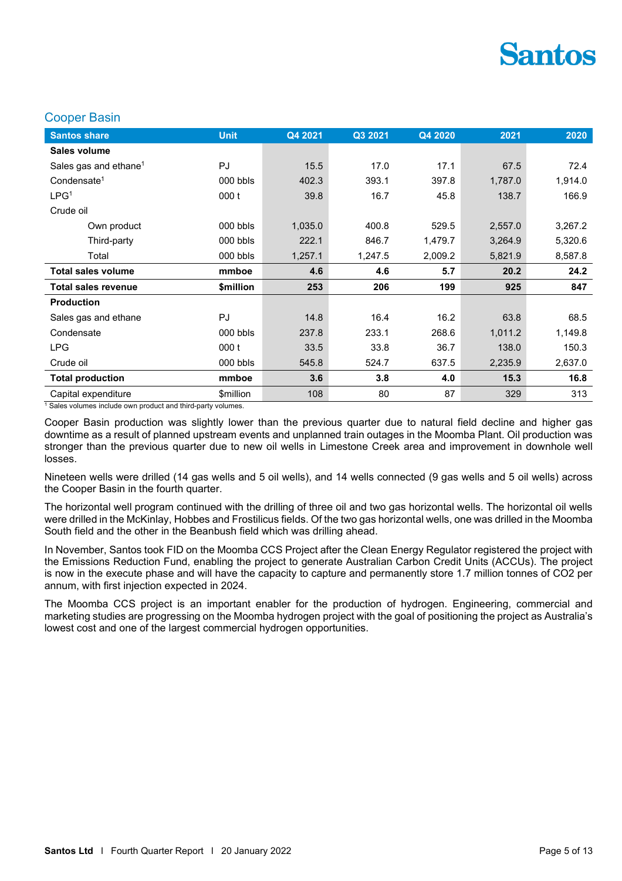#### Cooper Basin

| <b>Santos share</b>               | <b>Unit</b> | Q4 2021 | Q3 2021 | Q4 2020 | 2021    | 2020    |
|-----------------------------------|-------------|---------|---------|---------|---------|---------|
| Sales volume                      |             |         |         |         |         |         |
| Sales gas and ethane <sup>1</sup> | PJ          | 15.5    | 17.0    | 17.1    | 67.5    | 72.4    |
| Condensate <sup>1</sup>           | 000 bbls    | 402.3   | 393.1   | 397.8   | 1,787.0 | 1,914.0 |
| LPG <sup>1</sup>                  | 000t        | 39.8    | 16.7    | 45.8    | 138.7   | 166.9   |
| Crude oil                         |             |         |         |         |         |         |
| Own product                       | 000 bbls    | 1,035.0 | 400.8   | 529.5   | 2,557.0 | 3,267.2 |
| Third-party                       | 000 bbls    | 222.1   | 846.7   | 1,479.7 | 3,264.9 | 5,320.6 |
| Total                             | 000 bbls    | 1,257.1 | 1,247.5 | 2,009.2 | 5,821.9 | 8,587.8 |
|                                   |             |         |         |         |         |         |
| <b>Total sales volume</b>         | mmboe       | 4.6     | 4.6     | 5.7     | 20.2    | 24.2    |
| <b>Total sales revenue</b>        | \$million   | 253     | 206     | 199     | 925     | 847     |
| <b>Production</b>                 |             |         |         |         |         |         |
| Sales gas and ethane              | PJ          | 14.8    | 16.4    | 16.2    | 63.8    | 68.5    |
| Condensate                        | 000 bbls    | 237.8   | 233.1   | 268.6   | 1,011.2 | 1,149.8 |
| <b>LPG</b>                        | 000t        | 33.5    | 33.8    | 36.7    | 138.0   | 150.3   |
| Crude oil                         | 000 bbls    | 545.8   | 524.7   | 637.5   | 2,235.9 | 2,637.0 |
| <b>Total production</b>           | mmboe       | 3.6     | 3.8     | 4.0     | 15.3    | 16.8    |

 $1$  Sales volumes include own product and third-party volumes.

Cooper Basin production was slightly lower than the previous quarter due to natural field decline and higher gas downtime as a result of planned upstream events and unplanned train outages in the Moomba Plant. Oil production was stronger than the previous quarter due to new oil wells in Limestone Creek area and improvement in downhole well losses.

Nineteen wells were drilled (14 gas wells and 5 oil wells), and 14 wells connected (9 gas wells and 5 oil wells) across the Cooper Basin in the fourth quarter.

The horizontal well program continued with the drilling of three oil and two gas horizontal wells. The horizontal oil wells were drilled in the McKinlay, Hobbes and Frostilicus fields. Of the two gas horizontal wells, one was drilled in the Moomba South field and the other in the Beanbush field which was drilling ahead.

In November, Santos took FID on the Moomba CCS Project after the Clean Energy Regulator registered the project with the Emissions Reduction Fund, enabling the project to generate Australian Carbon Credit Units (ACCUs). The project is now in the execute phase and will have the capacity to capture and permanently store 1.7 million tonnes of CO2 per annum, with first injection expected in 2024.

The Moomba CCS project is an important enabler for the production of hydrogen. Engineering, commercial and marketing studies are progressing on the Moomba hydrogen project with the goal of positioning the project as Australia's lowest cost and one of the largest commercial hydrogen opportunities.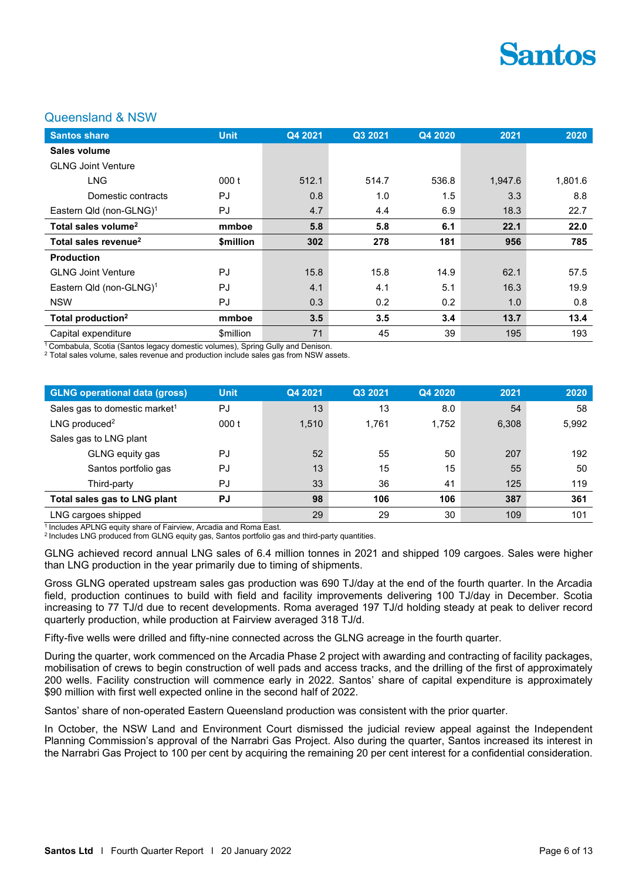

#### Queensland & NSW

| <b>Santos share</b>                 | <b>Unit</b> | Q4 2021 | Q3 2021 | Q4 2020 | 2021    | 2020    |
|-------------------------------------|-------------|---------|---------|---------|---------|---------|
| Sales volume                        |             |         |         |         |         |         |
| <b>GLNG Joint Venture</b>           |             |         |         |         |         |         |
| <b>LNG</b>                          | 000 t       | 512.1   | 514.7   | 536.8   | 1,947.6 | 1,801.6 |
| Domestic contracts                  | PJ          | 0.8     | 1.0     | 1.5     | 3.3     | 8.8     |
| Eastern Qld (non-GLNG) <sup>1</sup> | PJ          | 4.7     | 4.4     | 6.9     | 18.3    | 22.7    |
| Total sales volume <sup>2</sup>     | mmboe       | 5.8     | 5.8     | 6.1     | 22.1    | 22.0    |
| Total sales revenue <sup>2</sup>    | \$million   | 302     | 278     | 181     | 956     | 785     |
| <b>Production</b>                   |             |         |         |         |         |         |
| <b>GLNG Joint Venture</b>           | PJ          | 15.8    | 15.8    | 14.9    | 62.1    | 57.5    |
| Eastern Qld (non-GLNG) <sup>1</sup> | PJ          | 4.1     | 4.1     | 5.1     | 16.3    | 19.9    |
| <b>NSW</b>                          | PJ          | 0.3     | 0.2     | 0.2     | 1.0     | 0.8     |
| Total production <sup>2</sup>       | mmboe       | 3.5     | 3.5     | 3.4     | 13.7    | 13.4    |
| Capital expenditure                 | \$million   | 71      | 45      | 39      | 195     | 193     |

<sup>1</sup> Combabula, Scotia (Santos legacy domestic volumes), Spring Gully and Denison.

<sup>2</sup> Total sales volume, sales revenue and production include sales gas from NSW assets.

| <b>GLNG operational data (gross)</b>      | <b>Unit</b> | Q4 2021 | Q3 2021 | Q4 2020 | 2021  | 2020  |
|-------------------------------------------|-------------|---------|---------|---------|-------|-------|
| Sales gas to domestic market <sup>1</sup> | PJ          | 13      | 13      | 8.0     | 54    | 58    |
| LNG produced <sup>2</sup>                 | 000t        | 1.510   | 1.761   | 1.752   | 6,308 | 5,992 |
| Sales gas to LNG plant                    |             |         |         |         |       |       |
| GLNG equity gas                           | PJ          | 52      | 55      | 50      | 207   | 192   |
| Santos portfolio gas                      | PJ          | 13      | 15      | 15      | 55    | 50    |
| Third-party                               | PJ          | 33      | 36      | 41      | 125   | 119   |
| Total sales gas to LNG plant              | <b>PJ</b>   | 98      | 106     | 106     | 387   | 361   |
| LNG cargoes shipped                       |             | 29      | 29      | 30      | 109   | 101   |

1 Includes APLNG equity share of Fairview, Arcadia and Roma East.

<sup>2</sup>Includes LNG produced from GLNG equity gas, Santos portfolio gas and third-party quantities.

GLNG achieved record annual LNG sales of 6.4 million tonnes in 2021 and shipped 109 cargoes. Sales were higher than LNG production in the year primarily due to timing of shipments.

Gross GLNG operated upstream sales gas production was 690 TJ/day at the end of the fourth quarter. In the Arcadia field, production continues to build with field and facility improvements delivering 100 TJ/day in December. Scotia increasing to 77 TJ/d due to recent developments. Roma averaged 197 TJ/d holding steady at peak to deliver record quarterly production, while production at Fairview averaged 318 TJ/d.

Fifty-five wells were drilled and fifty-nine connected across the GLNG acreage in the fourth quarter.

During the quarter, work commenced on the Arcadia Phase 2 project with awarding and contracting of facility packages, mobilisation of crews to begin construction of well pads and access tracks, and the drilling of the first of approximately 200 wells. Facility construction will commence early in 2022. Santos' share of capital expenditure is approximately \$90 million with first well expected online in the second half of 2022.

Santos' share of non-operated Eastern Queensland production was consistent with the prior quarter.

In October, the NSW Land and Environment Court dismissed the judicial review appeal against the Independent Planning Commission's approval of the Narrabri Gas Project. Also during the quarter, Santos increased its interest in the Narrabri Gas Project to 100 per cent by acquiring the remaining 20 per cent interest for a confidential consideration.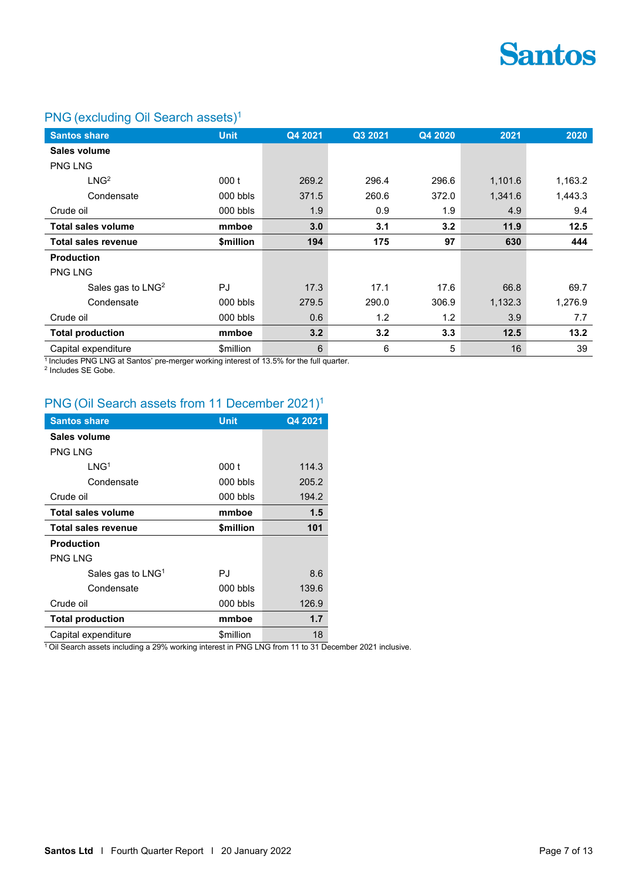

# PNG (excluding Oil Search assets)<sup>1</sup>

| <b>Santos share</b>           | <b>Unit</b> | Q4 2021 | Q3 2021 | Q4 2020 | 2021    | 2020    |
|-------------------------------|-------------|---------|---------|---------|---------|---------|
| Sales volume                  |             |         |         |         |         |         |
| <b>PNG LNG</b>                |             |         |         |         |         |         |
| LNG <sup>2</sup>              | 000t        | 269.2   | 296.4   | 296.6   | 1,101.6 | 1,163.2 |
| Condensate                    | $000$ bbls  | 371.5   | 260.6   | 372.0   | 1,341.6 | 1,443.3 |
| Crude oil                     | 000 bbls    | 1.9     | 0.9     | 1.9     | 4.9     | 9.4     |
| <b>Total sales volume</b>     | mmboe       | 3.0     | 3.1     | 3.2     | 11.9    | 12.5    |
| <b>Total sales revenue</b>    | \$million   | 194     | 175     | 97      | 630     | 444     |
| <b>Production</b>             |             |         |         |         |         |         |
| <b>PNG LNG</b>                |             |         |         |         |         |         |
| Sales gas to LNG <sup>2</sup> | <b>PJ</b>   | 17.3    | 17.1    | 17.6    | 66.8    | 69.7    |
| Condensate                    | $000$ bbls  | 279.5   | 290.0   | 306.9   | 1,132.3 | 1,276.9 |
| Crude oil                     | $000$ bbls  | 0.6     | 1.2     | 1.2     | 3.9     | 7.7     |
| <b>Total production</b>       | mmboe       | 3.2     | 3.2     | 3.3     | 12.5    | 13.2    |
| Capital expenditure           | \$million   | 6       | 6       | 5       | 16      | 39      |

<sup>1</sup> Includes PNG LNG at Santos' pre-merger working interest of 13.5% for the full quarter.<br><sup>2</sup> Includes SE Gobe.

# PNG (Oil Search assets from 11 December 2021)<sup>1</sup>

| <b>Santos share</b>       | Unit                          | Q4 2021 |
|---------------------------|-------------------------------|---------|
| Sales volume              |                               |         |
| <b>PNG LNG</b>            |                               |         |
| 1 NG <sup>1</sup>         | 000 t                         | 114.3   |
| Condensate                | $000$ bbls                    | 205.2   |
| Crude oil                 | 000 bbls                      | 194.2   |
| <b>Total sales volume</b> | mmboe                         | 1.5     |
| Total sales revenue       | <b><i><u>Smillion</u></i></b> | 101     |
| <b>Production</b>         |                               |         |
| PNG I NG                  |                               |         |
| Sales gas to $LNG1$       | PJ                            | 8.6     |
| Condensate                | $000$ bbls                    | 139.6   |
| Crude oil                 | $000$ bbls                    | 126.9   |
| <b>Total production</b>   | mmboe                         | 1.7     |
| Capital expenditure       | \$million                     | 18      |

<sup>1</sup>Oil Search assets including a 29% working interest in PNG LNG from 11 to 31 December 2021 inclusive.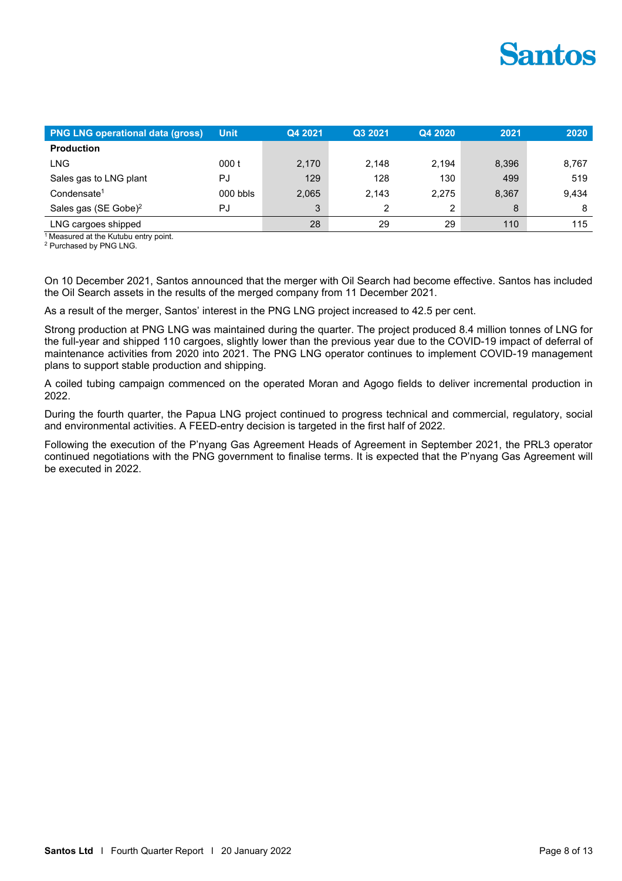| <b>PNG LNG operational data (gross)</b> | <b>Unit</b> | Q4 2021 | Q3 2021 | Q4 2020 | 2021  | 2020  |
|-----------------------------------------|-------------|---------|---------|---------|-------|-------|
| <b>Production</b>                       |             |         |         |         |       |       |
| LNG                                     | 000t        | 2,170   | 2.148   | 2.194   | 8,396 | 8,767 |
| Sales gas to LNG plant                  | PJ          | 129     | 128     | 130     | 499   | 519   |
| Condensate <sup>1</sup>                 | $000$ bbls  | 2,065   | 2.143   | 2.275   | 8,367 | 9,434 |
| Sales gas (SE Gobe) <sup>2</sup>        | PJ          | 3       | 2       | 2       | 8     | 8     |
| LNG cargoes shipped                     |             | 28      | 29      | 29      | 110   | 115   |

 $1$  Measured at the Kutubu entry point.

<sup>2</sup> Purchased by PNG LNG.

On 10 December 2021, Santos announced that the merger with Oil Search had become effective. Santos has included the Oil Search assets in the results of the merged company from 11 December 2021.

As a result of the merger, Santos' interest in the PNG LNG project increased to 42.5 per cent.

Strong production at PNG LNG was maintained during the quarter. The project produced 8.4 million tonnes of LNG for the full-year and shipped 110 cargoes, slightly lower than the previous year due to the COVID-19 impact of deferral of maintenance activities from 2020 into 2021. The PNG LNG operator continues to implement COVID-19 management plans to support stable production and shipping.

A coiled tubing campaign commenced on the operated Moran and Agogo fields to deliver incremental production in 2022.

During the fourth quarter, the Papua LNG project continued to progress technical and commercial, regulatory, social and environmental activities. A FEED-entry decision is targeted in the first half of 2022.

Following the execution of the P'nyang Gas Agreement Heads of Agreement in September 2021, the PRL3 operator continued negotiations with the PNG government to finalise terms. It is expected that the P'nyang Gas Agreement will be executed in 2022.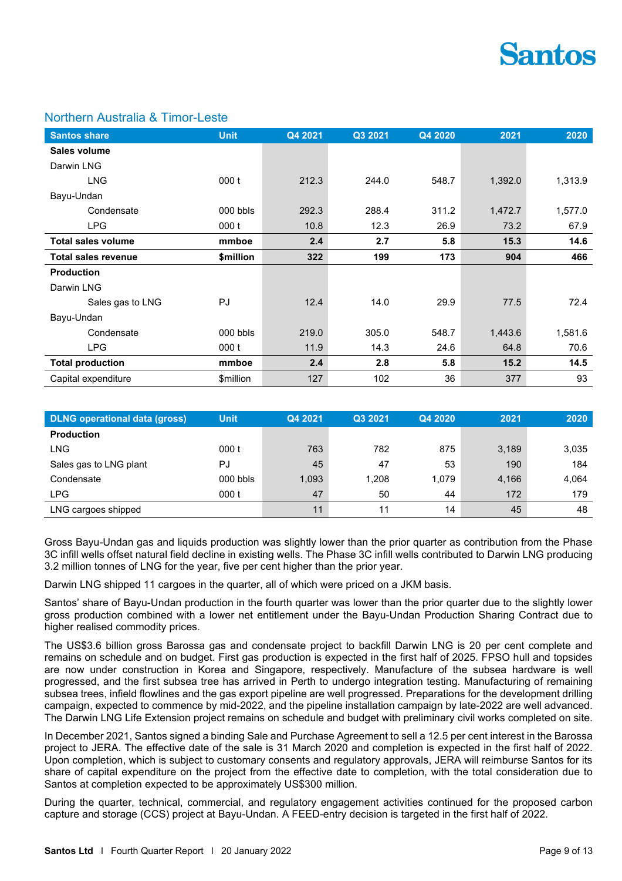

#### Northern Australia & Timor-Leste

| <b>Santos share</b>        | <b>Unit</b> | Q4 2021 | Q3 2021 | Q4 2020 | 2021    | 2020    |
|----------------------------|-------------|---------|---------|---------|---------|---------|
| Sales volume               |             |         |         |         |         |         |
| Darwin LNG                 |             |         |         |         |         |         |
| <b>LNG</b>                 | 000t        | 212.3   | 244.0   | 548.7   | 1,392.0 | 1,313.9 |
| Bayu-Undan                 |             |         |         |         |         |         |
| Condensate                 | $000$ bbls  | 292.3   | 288.4   | 311.2   | 1,472.7 | 1,577.0 |
| <b>LPG</b>                 | 000t        | 10.8    | 12.3    | 26.9    | 73.2    | 67.9    |
| <b>Total sales volume</b>  | mmboe       | 2.4     | 2.7     | 5.8     | 15.3    | 14.6    |
| <b>Total sales revenue</b> | \$million   | 322     | 199     | 173     | 904     | 466     |
| <b>Production</b>          |             |         |         |         |         |         |
| Darwin LNG                 |             |         |         |         |         |         |
| Sales gas to LNG           | PJ          | 12.4    | 14.0    | 29.9    | 77.5    | 72.4    |
| Bayu-Undan                 |             |         |         |         |         |         |
| Condensate                 | 000 bbls    | 219.0   | 305.0   | 548.7   | 1,443.6 | 1,581.6 |
| <b>LPG</b>                 | 000t        | 11.9    | 14.3    | 24.6    | 64.8    | 70.6    |
| <b>Total production</b>    | mmboe       | 2.4     | 2.8     | 5.8     | 15.2    | 14.5    |
| Capital expenditure        | \$million   | 127     | 102     | 36      | 377     | 93      |

| <b>DLNG</b> operational data (gross) | <b>Unit</b> | Q4 2021 | Q3 2021 | Q4 2020 | 2021  | 2020  |
|--------------------------------------|-------------|---------|---------|---------|-------|-------|
| <b>Production</b>                    |             |         |         |         |       |       |
| LNG                                  | 000t        | 763     | 782     | 875     | 3,189 | 3,035 |
| Sales gas to LNG plant               | PJ          | 45      | 47      | 53      | 190   | 184   |
| Condensate                           | 000 bbls    | 1,093   | 1,208   | 1.079   | 4,166 | 4,064 |
| <b>LPG</b>                           | 000t        | 47      | 50      | 44      | 172   | 179   |
| LNG cargoes shipped                  |             | 11      | 11      | 14      | 45    | 48    |

Gross Bayu-Undan gas and liquids production was slightly lower than the prior quarter as contribution from the Phase 3C infill wells offset natural field decline in existing wells. The Phase 3C infill wells contributed to Darwin LNG producing 3.2 million tonnes of LNG for the year, five per cent higher than the prior year.

Darwin LNG shipped 11 cargoes in the quarter, all of which were priced on a JKM basis.

Santos' share of Bayu-Undan production in the fourth quarter was lower than the prior quarter due to the slightly lower gross production combined with a lower net entitlement under the Bayu-Undan Production Sharing Contract due to higher realised commodity prices.

The US\$3.6 billion gross Barossa gas and condensate project to backfill Darwin LNG is 20 per cent complete and remains on schedule and on budget. First gas production is expected in the first half of 2025. FPSO hull and topsides are now under construction in Korea and Singapore, respectively. Manufacture of the subsea hardware is well progressed, and the first subsea tree has arrived in Perth to undergo integration testing. Manufacturing of remaining subsea trees, infield flowlines and the gas export pipeline are well progressed. Preparations for the development drilling campaign, expected to commence by mid-2022, and the pipeline installation campaign by late-2022 are well advanced. The Darwin LNG Life Extension project remains on schedule and budget with preliminary civil works completed on site.

In December 2021, Santos signed a binding Sale and Purchase Agreement to sell a 12.5 per cent interest in the Barossa project to JERA. The effective date of the sale is 31 March 2020 and completion is expected in the first half of 2022. Upon completion, which is subject to customary consents and regulatory approvals, JERA will reimburse Santos for its share of capital expenditure on the project from the effective date to completion, with the total consideration due to Santos at completion expected to be approximately US\$300 million.

During the quarter, technical, commercial, and regulatory engagement activities continued for the proposed carbon capture and storage (CCS) project at Bayu-Undan. A FEED-entry decision is targeted in the first half of 2022.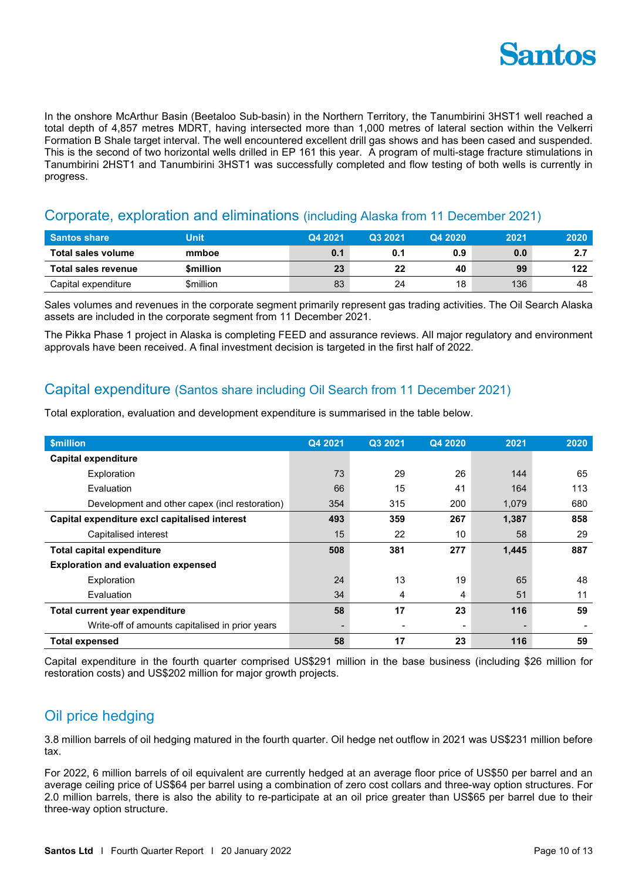

In the onshore McArthur Basin (Beetaloo Sub-basin) in the Northern Territory, the Tanumbirini 3HST1 well reached a total depth of 4,857 metres MDRT, having intersected more than 1,000 metres of lateral section within the Velkerri Formation B Shale target interval. The well encountered excellent drill gas shows and has been cased and suspended. This is the second of two horizontal wells drilled in EP 161 this year. A program of multi-stage fracture stimulations in Tanumbirini 2HST1 and Tanumbirini 3HST1 was successfully completed and flow testing of both wells is currently in progress.

### Corporate, exploration and eliminations (including Alaska from 11 December 2021)

| <b>Santos share</b> | Unit      | Q4 2021 | Q3 2021 | Q4 2020 | 2021 | 2020 |
|---------------------|-----------|---------|---------|---------|------|------|
| Total sales volume  | mmboe     | 0.1     | 0.1     | 0.9     | 0.0  |      |
| Total sales revenue | \$million | 23      | 22      | 40      | 99   | 122  |
| Capital expenditure | \$million | 83      | 24      | 18      | 136  | 48   |

Sales volumes and revenues in the corporate segment primarily represent gas trading activities. The Oil Search Alaska assets are included in the corporate segment from 11 December 2021.

The Pikka Phase 1 project in Alaska is completing FEED and assurance reviews. All major regulatory and environment approvals have been received. A final investment decision is targeted in the first half of 2022.

## Capital expenditure (Santos share including Oil Search from 11 December 2021)

Total exploration, evaluation and development expenditure is summarised in the table below.

| <b>\$million</b>                                | Q4 2021 | Q3 2021 | Q4 2020                  | 2021  | 2020 |
|-------------------------------------------------|---------|---------|--------------------------|-------|------|
| <b>Capital expenditure</b>                      |         |         |                          |       |      |
| Exploration                                     | 73      | 29      | 26                       | 144   | 65   |
| Evaluation                                      | 66      | 15      | 41                       | 164   | 113  |
| Development and other capex (incl restoration)  | 354     | 315     | 200                      | 1,079 | 680  |
| Capital expenditure excl capitalised interest   | 493     | 359     | 267                      | 1,387 | 858  |
| Capitalised interest                            | 15      | 22      | 10                       | 58    | 29   |
| <b>Total capital expenditure</b>                | 508     | 381     | 277                      | 1,445 | 887  |
| <b>Exploration and evaluation expensed</b>      |         |         |                          |       |      |
| Exploration                                     | 24      | 13      | 19                       | 65    | 48   |
| Evaluation                                      | 34      | 4       | 4                        | 51    | 11   |
| Total current year expenditure                  | 58      | 17      | 23                       | 116   | 59   |
| Write-off of amounts capitalised in prior years |         |         | $\overline{\phantom{0}}$ |       |      |
| <b>Total expensed</b>                           | 58      | 17      | 23                       | 116   | 59   |

Capital expenditure in the fourth quarter comprised US\$291 million in the base business (including \$26 million for restoration costs) and US\$202 million for major growth projects.

# Oil price hedging

3.8 million barrels of oil hedging matured in the fourth quarter. Oil hedge net outflow in 2021 was US\$231 million before tax.

For 2022, 6 million barrels of oil equivalent are currently hedged at an average floor price of US\$50 per barrel and an average ceiling price of US\$64 per barrel using a combination of zero cost collars and three-way option structures. For 2.0 million barrels, there is also the ability to re-participate at an oil price greater than US\$65 per barrel due to their three-way option structure.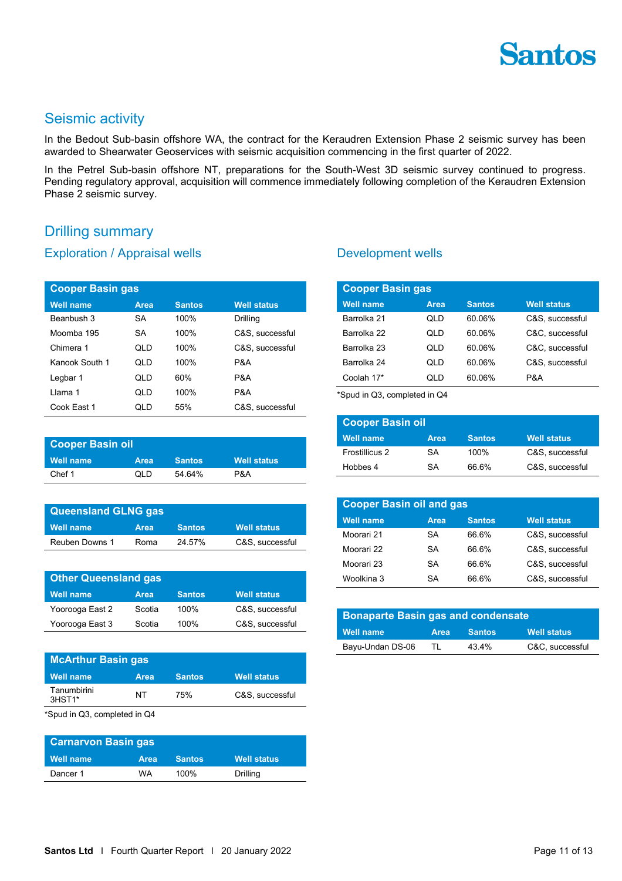

## Seismic activity

In the Bedout Sub-basin offshore WA, the contract for the Keraudren Extension Phase 2 seismic survey has been awarded to Shearwater Geoservices with seismic acquisition commencing in the first quarter of 2022.

In the Petrel Sub-basin offshore NT, preparations for the South-West 3D seismic survey continued to progress. Pending regulatory approval, acquisition will commence immediately following completion of the Keraudren Extension Phase 2 seismic survey.

## Drilling summary

#### Exploration / Appraisal wells

| <b>Cooper Basin gas</b> |           |               |                    |  |  |
|-------------------------|-----------|---------------|--------------------|--|--|
| <b>Well name</b>        | Area      | <b>Santos</b> | <b>Well status</b> |  |  |
| Beanbush 3              | SA        | 100%          | Drilling           |  |  |
| Moomba 195              | <b>SA</b> | 100%          | C&S, successful    |  |  |
| Chimera 1               | QLD       | 100%          | C&S, successful    |  |  |
| Kanook South 1          | QLD       | 100%          | P&A                |  |  |
| Legbar 1                | QLD       | 60%           | P&A                |  |  |
| I lama 1                | QLD       | 100%          | P&A                |  |  |
| Cook East 1             | QLD       | 55%           | C&S, successful    |  |  |

| <b>Cooper Basin oil</b> |             |               |                    |  |
|-------------------------|-------------|---------------|--------------------|--|
| Well name               | <b>Area</b> | <b>Santos</b> | <b>Well status</b> |  |
| Chef 1                  | OI D        | 5464%         | P&A                |  |

| <b>Queensland GLNG gas</b> |             |               |                    |  |  |
|----------------------------|-------------|---------------|--------------------|--|--|
| Well name                  | <b>Area</b> | <b>Santos</b> | <b>Well status</b> |  |  |
| Reuben Downs 1             | Roma        | 24 57%        | C&S, successful    |  |  |

| <b>Other Queensland gas</b> |        |               |                    |  |
|-----------------------------|--------|---------------|--------------------|--|
| <b>Well name</b>            | Area   | <b>Santos</b> | <b>Well status</b> |  |
| Yoorooga East 2             | Scotia | 100%          | C&S. successful    |  |
| Yoorooga East 3             | Scotia | 100%          | C&S. successful    |  |

| <b>McArthur Basin gas</b> |             |               |                    |  |  |
|---------------------------|-------------|---------------|--------------------|--|--|
| <b>Well name</b>          | <b>Area</b> | <b>Santos</b> | <b>Well status</b> |  |  |
| Tanumbirini<br>$3HST1*$   | NT          | 75%           | C&S. successful    |  |  |

\*Spud in Q3, completed in Q4

| <b>Carnarvon Basin gas</b> |             |               |                    |  |  |
|----------------------------|-------------|---------------|--------------------|--|--|
| Well name                  | <b>Area</b> | <b>Santos</b> | <b>Well status</b> |  |  |
| Dancer 1                   | WA          | $100\%$       | Drilling           |  |  |

#### Development wells

| <b>Cooper Basin gas</b> |      |               |                    |  |
|-------------------------|------|---------------|--------------------|--|
| <b>Well name</b>        | Area | <b>Santos</b> | <b>Well status</b> |  |
| Barrolka 21             | ח ומ | 60.06%        | C&S, successful    |  |
| Barrolka 22             | QLD  | 60.06%        | C&C. successful    |  |
| Barrolka 23             | QLD  | 60.06%        | C&C, successful    |  |
| Barrolka 24             | QLD  | 60.06%        | C&S. successful    |  |
| Coolah 17*              | ח ומ | 60.06%        | P&A                |  |

\*Spud in Q3, completed in Q4

| <b>Cooper Basin oil</b> |      |               |                    |  |
|-------------------------|------|---------------|--------------------|--|
| <b>Well name</b>        | Area | <b>Santos</b> | <b>Well status</b> |  |
| Frostillicus 2          | SA.  | 100%          | C&S. successful    |  |
| Hobbes 4                | SA   | 66.6%         | C&S. successful    |  |

| <b>Cooper Basin oil and gas</b> |           |               |                    |  |
|---------------------------------|-----------|---------------|--------------------|--|
| <b>Well name</b>                | Area      | <b>Santos</b> | <b>Well status</b> |  |
| Moorari 21                      | SA        | 66.6%         | C&S, successful    |  |
| Moorari 22                      | <b>SA</b> | 66.6%         | C&S. successful    |  |
| Moorari 23                      | <b>SA</b> | 66.6%         | C&S, successful    |  |
| Woolkina 3                      | SA        | 66.6%         | C&S. successful    |  |

| <b>Bonaparte Basin gas and condensate</b> |             |               |                    |
|-------------------------------------------|-------------|---------------|--------------------|
| <b>Well name</b>                          | <b>Area</b> | <b>Santos</b> | <b>Well status</b> |
| Bayu-Undan DS-06                          | TI          | 43.4%         | C&C. successful    |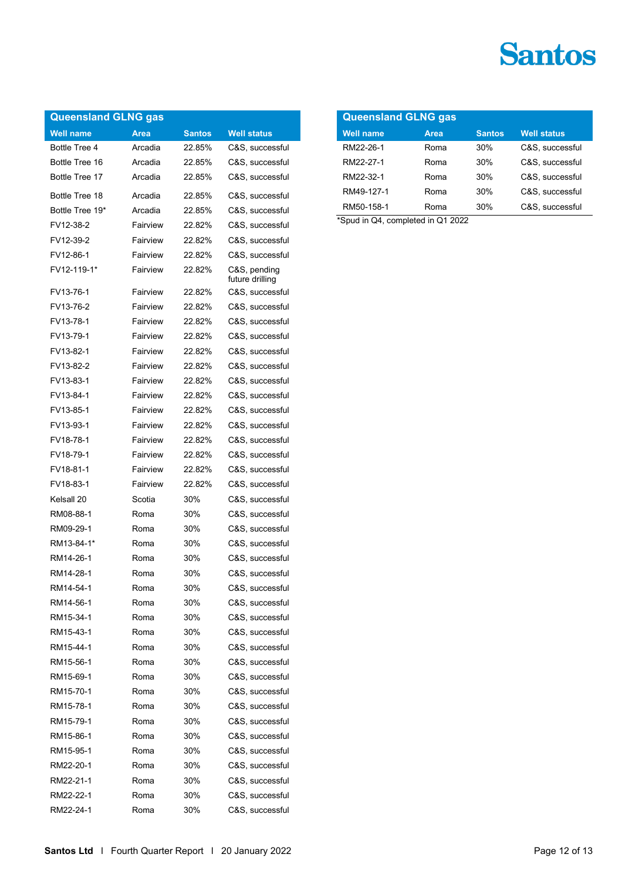| <b>Queensland GLNG gas</b> |             |               |                                 |  |
|----------------------------|-------------|---------------|---------------------------------|--|
| <b>Well name</b>           | <b>Area</b> | <b>Santos</b> | <b>Well status</b>              |  |
| Bottle Tree 4              | Arcadia     | 22.85%        | C&S, successful                 |  |
| Bottle Tree 16             | Arcadia     | 22.85%        | C&S, successful                 |  |
| Bottle Tree 17             | Arcadia     | 22.85%        | C&S, successful                 |  |
| Bottle Tree 18             | Arcadia     | 22.85%        | C&S, successful                 |  |
| Bottle Tree 19*            | Arcadia     | 22.85%        | C&S, successful                 |  |
| FV12-38-2                  | Fairview    | 22.82%        | C&S, successful                 |  |
| FV12-39-2                  | Fairview    | 2282%         | C&S, successful                 |  |
| FV12-86-1                  | Fairview    | 2282%         | C&S, successful                 |  |
| FV12-119-1*                | Fairview    | 22.82%        | C&S, pending<br>future drilling |  |
| FV13-76-1                  | Fairview    | 22.82%        | C&S, successful                 |  |
| FV13-76-2                  | Fairview    | 22.82%        | C&S, successful                 |  |
| FV13-78-1                  | Fairview    | 22.82%        | C&S. successful                 |  |
| FV13-79-1                  | Fairview    | 22.82%        | C&S, successful                 |  |
| FV13-82-1                  | Fairview    | 22.82%        | C&S, successful                 |  |
| FV13-82-2                  | Fairview    | 22.82%        | C&S, successful                 |  |
| FV13-83-1                  | Fairview    | 22.82%        | C&S, successful                 |  |
| FV13-84-1                  | Fairview    | 2282%         | C&S, successful                 |  |
| FV13-85-1                  | Fairview    | 22.82%        | C&S, successful                 |  |
| FV13-93-1                  | Fairview    | 22.82%        |                                 |  |
| FV18-78-1                  | Fairview    | 22.82%        | C&S, successful                 |  |
|                            |             |               | C&S, successful                 |  |
| FV18-79-1                  | Fairview    | 22.82%        | C&S, successful                 |  |
| FV18-81-1                  | Fairview    | 22.82%        | C&S, successful                 |  |
| FV18-83-1                  | Fairview    | 22.82%        | C&S, successful                 |  |
| Kelsall 20                 | Scotia      | 30%           | C&S, successful                 |  |
| RM08-88-1                  | Roma        | 30%           | C&S, successful                 |  |
| RM09-29-1                  | Roma        | 30%           | C&S, successful                 |  |
| RM13-84-1*                 | Roma        | 30%           | C&S, successful                 |  |
| RM14-26-1                  | Roma        | 30%           | C&S, successful                 |  |
| RM14-28-1                  | Roma        | 30%           | C&S, successful                 |  |
| RM14-54-1                  | Roma        | 30%           | C&S, successful                 |  |
| RM14-56-1                  | Roma        | 30%           | C&S, successful                 |  |
| RM15-34-1                  | Roma        | 30%           | C&S, successful                 |  |
| RM15-43-1                  | Roma        | 30%           | C&S, successful                 |  |
| RM15-44-1                  | Roma        | 30%           | C&S, successful                 |  |
| RM15-56-1                  | Roma        | 30%           | C&S, successful                 |  |
| RM15-69-1                  | Roma        | 30%           | C&S, successful                 |  |
| RM15-70-1                  | Roma        | 30%           | C&S, successful                 |  |
| RM15-78-1                  | Roma        | 30%           | C&S, successful                 |  |
| RM15-79-1                  | Roma        | 30%           | C&S, successful                 |  |
| RM15-86-1                  | Roma        | 30%           | C&S, successful                 |  |
| RM15-95-1                  | Roma        | 30%           | C&S, successful                 |  |
| RM22-20-1                  | Roma        | 30%           | C&S, successful                 |  |
| RM22-21-1                  | Roma        | 30%           | C&S, successful                 |  |
| RM22-22-1                  | Roma        | 30%           | C&S, successful                 |  |
| RM22-24-1                  | Roma        | 30%           | C&S, successful                 |  |

| <b>Queensland GLNG gas</b> |      |               |                    |  |
|----------------------------|------|---------------|--------------------|--|
| <b>Well name</b>           | Area | <b>Santos</b> | <b>Well status</b> |  |
| RM22-26-1                  | Roma | 30%           | C&S. successful    |  |
| RM22-27-1                  | Roma | 30%           | C&S. successful    |  |
| RM22-32-1                  | Roma | 30%           | C&S. successful    |  |
| RM49-127-1                 | Roma | 30%           | C&S. successful    |  |
| RM50-158-1                 | Roma | 30%           | C&S, successful    |  |

\*Spud in Q4, completed in Q1 2022